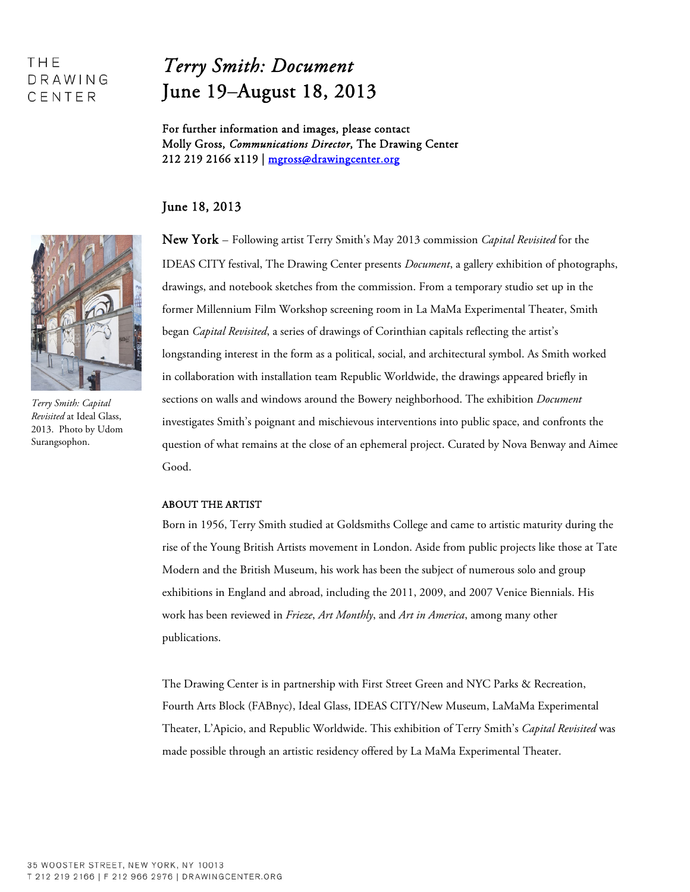## THE DRAWING CENTER

# *Terry Smith: Document* June 19–August 18, 2013

For further information and images, please contact Molly Gross, *Communications Director*, The Drawing Center 212 219 2166 x119 | mgross@drawingcenter.org

### June 18, 2013

New York – Following artist Terry Smith's May 2013 commission *Capital Revisited* for the IDEAS CITY festival, The Drawing Center presents *Document*, a gallery exhibition of photographs, drawings, and notebook sketches from the commission. From a temporary studio set up in the former Millennium Film Workshop screening room in La MaMa Experimental Theater, Smith began *Capital Revisited*, a series of drawings of Corinthian capitals reflecting the artist's longstanding interest in the form as a political, social, and architectural symbol. As Smith worked in collaboration with installation team Republic Worldwide, the drawings appeared briefly in sections on walls and windows around the Bowery neighborhood. The exhibition *Document* investigates Smith's poignant and mischievous interventions into public space, and confronts the question of what remains at the close of an ephemeral project. Curated by Nova Benway and Aimee Good.

### ABOUT THE ARTIST

Born in 1956, Terry Smith studied at Goldsmiths College and came to artistic maturity during the rise of the Young British Artists movement in London. Aside from public projects like those at Tate Modern and the British Museum, his work has been the subject of numerous solo and group exhibitions in England and abroad, including the 2011, 2009, and 2007 Venice Biennials. His work has been reviewed in *Frieze*, *Art Monthly*, and *Art in America*, among many other publications.

The Drawing Center is in partnership with First Street Green and NYC Parks & Recreation, Fourth Arts Block (FABnyc), Ideal Glass, IDEAS CITY/New Museum, LaMaMa Experimental Theater, L'Apicio, and Republic Worldwide. This exhibition of Terry Smith's *Capital Revisited* was made possible through an artistic residency offered by La MaMa Experimental Theater.



*Terry Smith: Capital Revisited* at Ideal Glass, 2013. Photo by Udom Surangsophon.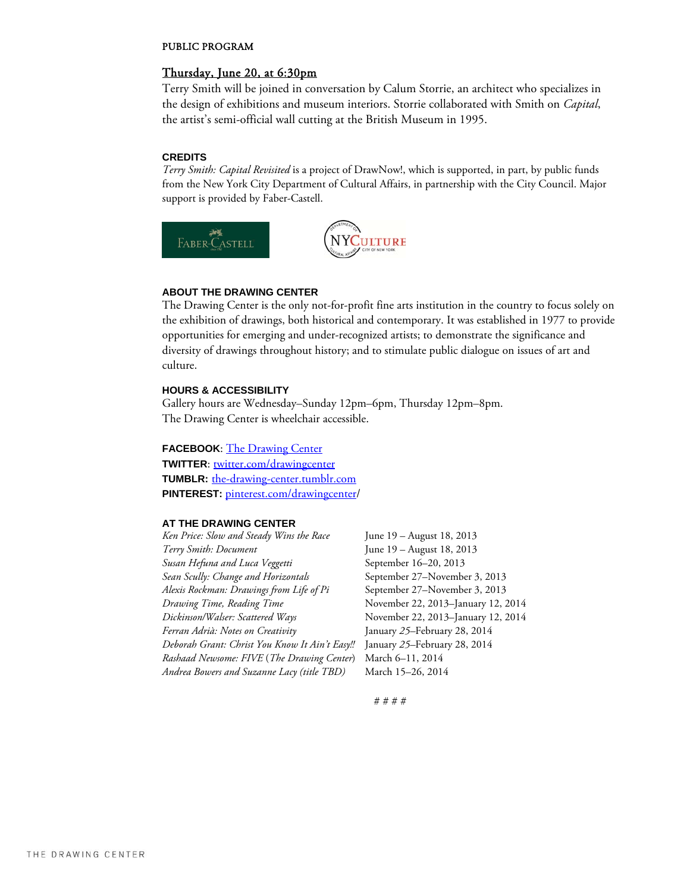#### PUBLIC PROGRAM

#### Thursday, June 20, at 6:30pm

Terry Smith will be joined in conversation by Calum Storrie, an architect who specializes in the design of exhibitions and museum interiors. Storrie collaborated with Smith on *Capital*, the artist's semi-official wall cutting at the British Museum in 1995.

#### **CREDITS**

*Terry Smith: Capital Revisited* is a project of DrawNow!, which is supported, in part, by public funds from the New York City Department of Cultural Affairs, in partnership with the City Council. Major support is provided by Faber-Castell.



#### **ABOUT THE DRAWING CENTER**

The Drawing Center is the only not-for-profit fine arts institution in the country to focus solely on the exhibition of drawings, both historical and contemporary. It was established in 1977 to provide opportunities for emerging and under-recognized artists; to demonstrate the significance and diversity of drawings throughout history; and to stimulate public dialogue on issues of art and culture.

#### **HOURS & ACCESSIBILITY**

Gallery hours are Wednesday–Sunday 12pm–6pm, Thursday 12pm–8pm. The Drawing Center is wheelchair accessible.

**FACEBOOK:** The Drawing Center **TWITTER:** twitter.com/drawingcenter **TUMBLR:** the-drawing-center.tumblr.com **PINTEREST:** pinterest.com/drawingcenter/

#### **AT THE DRAWING CENTER**

*Ken Price: Slow and Steady Wins the Race* June 19 – August 18, 2013 *Terry Smith: Document* June 19 – August 18, 2013 *Susan Hefuna and Luca Veggetti* September 16–20, 2013 *Sean Scully: Change and Horizontals* September 27–November 3, 2013 *Alexis Rockman: Drawings from Life of Pi* September 27–November 3, 2013 *Drawing Time, Reading Time* November 22, 2013–January 12, 2014 *Dickinson/Walser: Scattered Ways* November 22, 2013–January 12, 2014 *Ferran Adrià: Notes on Creativity* January *25–*February 28, 2014 *Deborah Grant: Christ You Know It Ain't Easy!!* January *25–*February 28, 2014 *Rashaad Newsome: FIVE* (*The Drawing Center*) March 6–11, 2014 *Andrea Bowers and Suzanne Lacy (title TBD)* March 15–26, 2014

# # # #